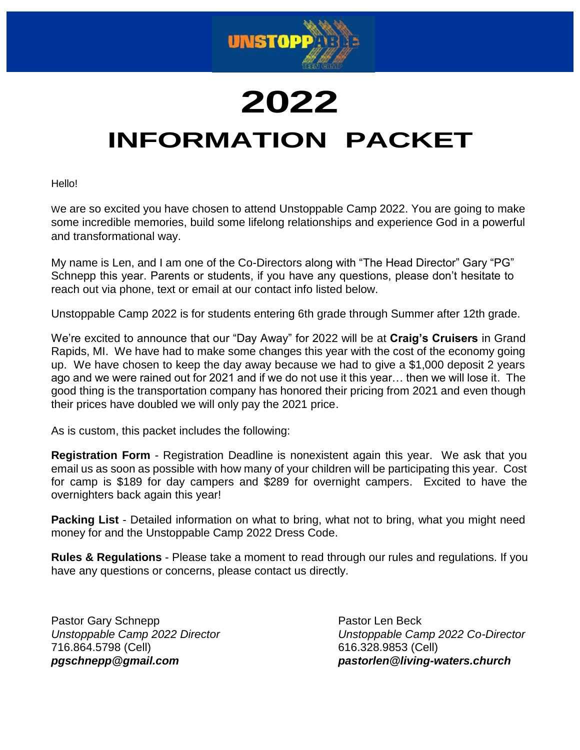

# **2022 INFORMATION PACKET**

Hello!

We are so excited you have chosen to attend Unstoppable Camp 2022. You are going to make some incredible memories, build some lifelong relationships and experience God in a powerful and transformational way.

My name is Len, and I am one of the Co-Directors along with "The Head Director" Gary "PG" Schnepp this year. Parents or students, if you have any questions, please don't hesitate to reach out via phone, text or email at our contact info listed below.

Unstoppable Camp 2022 is for students entering 6th grade through Summer after 12th grade.

We're excited to announce that our "Day Away" for 2022 will be at **Craig's Cruisers** in Grand Rapids, MI. We have had to make some changes this year with the cost of the economy going up. We have chosen to keep the day away because we had to give a \$1,000 deposit 2 years ago and we were rained out for 2021 and if we do not use it this year… then we will lose it. The good thing is the transportation company has honored their pricing from 2021 and even though their prices have doubled we will only pay the 2021 price.

As is custom, this packet includes the following:

**Registration Form** - Registration Deadline is nonexistent again this year. We ask that you email us as soon as possible with how many of your children will be participating this year. Cost for camp is \$189 for day campers and \$289 for overnight campers. Excited to have the overnighters back again this year!

**Packing List** - Detailed information on what to bring, what not to bring, what you might need money for and the Unstoppable Camp 2022 Dress Code.

**Rules & Regulations** - Please take a moment to read through our rules and regulations. If you have any questions or concerns, please contact us directly.

Pastor Gary Schnepp **Pastor Len Beck** 716.864.5798 (Cell) 616.328.9853 (Cell)

*Unstoppable Camp 2022 Director Unstoppable Camp 2022 Co-Director [pgschnepp@gmail.com](mailto:pgschnepp@gmail.com) pastorlen@living-waters.church*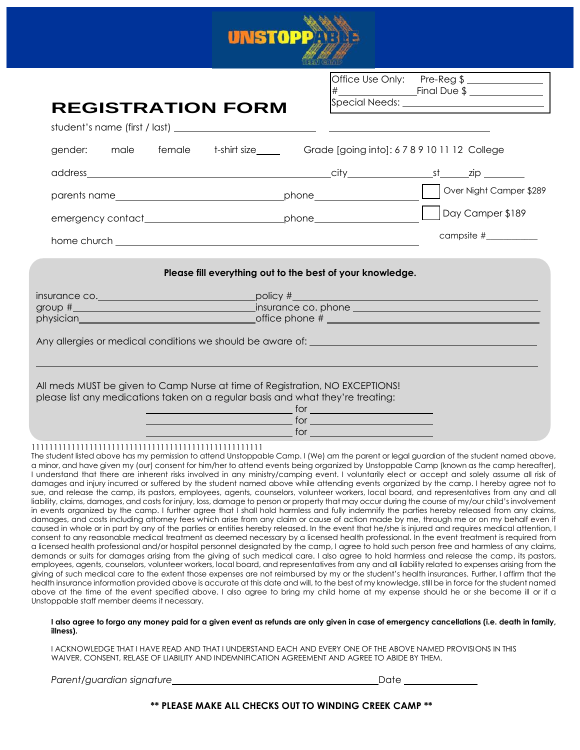

Office Use Only: Pre-Reg \$ # Final Due \$

|                                                                                                                                                                                                                                |                                                                                                                                                                                                                                |  | <b>REGISTRATION FORM</b> |                                                                                                                                                                                                                                      |  |                                                                                |  |
|--------------------------------------------------------------------------------------------------------------------------------------------------------------------------------------------------------------------------------|--------------------------------------------------------------------------------------------------------------------------------------------------------------------------------------------------------------------------------|--|--------------------------|--------------------------------------------------------------------------------------------------------------------------------------------------------------------------------------------------------------------------------------|--|--------------------------------------------------------------------------------|--|
|                                                                                                                                                                                                                                |                                                                                                                                                                                                                                |  |                          |                                                                                                                                                                                                                                      |  |                                                                                |  |
|                                                                                                                                                                                                                                |                                                                                                                                                                                                                                |  |                          | gender: male female t-shirt size____ Grade [going into]: 6789101112 College                                                                                                                                                          |  |                                                                                |  |
|                                                                                                                                                                                                                                |                                                                                                                                                                                                                                |  |                          |                                                                                                                                                                                                                                      |  |                                                                                |  |
|                                                                                                                                                                                                                                |                                                                                                                                                                                                                                |  |                          |                                                                                                                                                                                                                                      |  |                                                                                |  |
|                                                                                                                                                                                                                                |                                                                                                                                                                                                                                |  |                          |                                                                                                                                                                                                                                      |  |                                                                                |  |
|                                                                                                                                                                                                                                |                                                                                                                                                                                                                                |  |                          |                                                                                                                                                                                                                                      |  | campsite #__________                                                           |  |
|                                                                                                                                                                                                                                |                                                                                                                                                                                                                                |  |                          | Please fill everything out to the best of your knowledge.                                                                                                                                                                            |  |                                                                                |  |
|                                                                                                                                                                                                                                |                                                                                                                                                                                                                                |  |                          |                                                                                                                                                                                                                                      |  | insurance co. <u>Communications of the policy</u> $\#\underline{\hspace{2cm}}$ |  |
|                                                                                                                                                                                                                                | group # strategies and the strategies of the strategies of the strategies of the strategies of the strategies of the strategies of the strategies of the strategies of the strategies of the strategies of the strategies of t |  |                          |                                                                                                                                                                                                                                      |  |                                                                                |  |
| physician experience and the state of the state of the state of the state of the state of the state of the state of the state of the state of the state of the state of the state of the state of the state of the state of th |                                                                                                                                                                                                                                |  |                          |                                                                                                                                                                                                                                      |  |                                                                                |  |
|                                                                                                                                                                                                                                |                                                                                                                                                                                                                                |  |                          | All meds MUST be given to Camp Nurse at time of Registration, NO EXCEPTIONS!<br>please list any medications taken on a regular basis and what they're treating:                                                                      |  |                                                                                |  |
|                                                                                                                                                                                                                                |                                                                                                                                                                                                                                |  |                          | <u>of the state of the state of the state of the state of the state of the state of the state of the state of the state of the state of the state of the state of the state of the state of the state of the state of the state </u> |  |                                                                                |  |
|                                                                                                                                                                                                                                |                                                                                                                                                                                                                                |  |                          |                                                                                                                                                                                                                                      |  |                                                                                |  |
|                                                                                                                                                                                                                                |                                                                                                                                                                                                                                |  |                          |                                                                                                                                                                                                                                      |  |                                                                                |  |
|                                                                                                                                                                                                                                |                                                                                                                                                                                                                                |  |                          | $\overline{\phantom{a}}$ for $\overline{\phantom{a}}$                                                                                                                                                                                |  |                                                                                |  |

#### **I also agree to forgo any money paid for a given event as refunds are only given in case of emergency cancellations (i.e. death in family, illness).**

health insurance information provided above is accurate at this date and will, to the best of my knowledge, still be in force for the student named above at the time of the event specified above. I also agree to bring my child home at my expense should he or she become ill or if a

I ACKNOWLEDGE THAT I HAVE READ AND THAT I UNDERSTAND EACH AND EVERY ONE OF THE ABOVE NAMED PROVISIONS IN THIS WAIVER, CONSENT, RELASE OF LIABILITY AND INDEMNIFICATION AGREEMENT AND AGREE TO ABIDE BY THEM.

*Parent/guardian signature* Date

Unstoppable staff member deems it necessary.

**\*\* PLEASE MAKE ALL CHECKS OUT TO WINDING CREEK CAMP \*\***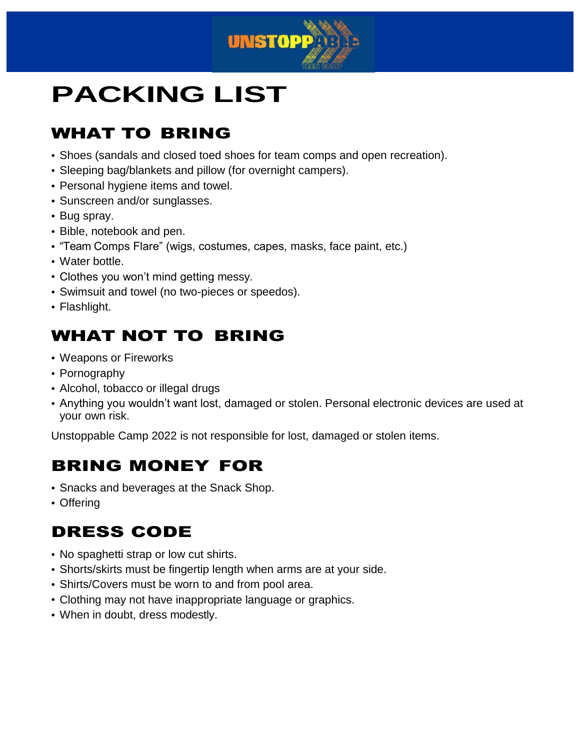

## **PACKING LIST**

### WHAT TO BRING

- Shoes (sandals and closed toed shoes for team comps and open recreation).
- Sleeping bag/blankets and pillow (for overnight campers).
- Personal hygiene items and towel.
- Sunscreen and/or sunglasses.
- Bug spray.
- Bible, notebook and pen.
- "Team Comps Flare" (wigs, costumes, capes, masks, face paint, etc.)
- Water bottle.
- Clothes you won't mind getting messy.
- Swimsuit and towel (no two-pieces or speedos).
- Flashlight.

#### WHAT NOT TO BRING

- Weapons or Fireworks
- Pornography
- Alcohol, tobacco or illegal drugs
- Anything you wouldn't want lost, damaged or stolen. Personal electronic devices are used at your own risk.

Unstoppable Camp 2022 is not responsible for lost, damaged or stolen items.

#### BRING MONEY FOR

- Snacks and beverages at the Snack Shop.
- Offering

#### DRESS CODE

- No spaghetti strap or low cut shirts.
- Shorts/skirts must be fingertip length when arms are at your side.
- Shirts/Covers must be worn to and from pool area.
- Clothing may not have inappropriate language or graphics.
- When in doubt, dress modestly.